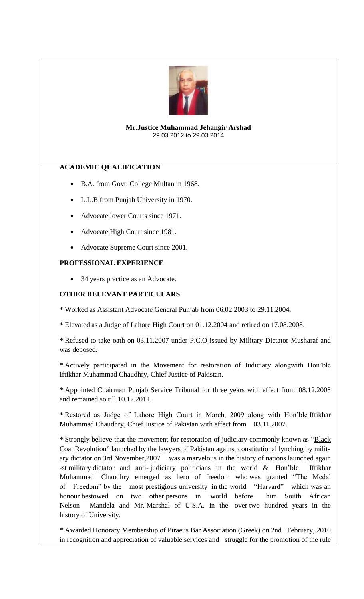

#### **Mr.Justice Muhammad Jehangir Arshad** 29.03.2012 to 29.03.2014

# **ACADEMIC QUALIFICATION**

- B.A. from Govt. College Multan in 1968.
- L.L.B from Punjab University in 1970.
- Advocate lower Courts since 1971.
- Advocate High Court since 1981.
- Advocate Supreme Court since 2001.

## **PROFESSIONAL EXPERIENCE**

34 years practice as an Advocate.

# **OTHER RELEVANT PARTICULARS**

\* Worked as Assistant Advocate General Punjab from 06.02.2003 to 29.11.2004.

\* Elevated as a Judge of Lahore High Court on 01.12.2004 and retired on 17.08.2008.

\* Refused to take oath on 03.11.2007 under P.C.O issued by Military Dictator Musharaf and was deposed.

\* Actively participated in the Movement for restoration of Judiciary alongwith Hon'ble Iftikhar Muhammad Chaudhry, Chief Justice of Pakistan.

\* Appointed Chairman Punjab Service Tribunal for three years with effect from 08.12.2008 and remained so till 10.12.2011.

\* Restored as Judge of Lahore High Court in March, 2009 along with Hon'ble Iftikhar Muhammad Chaudhry, Chief Justice of Pakistan with effect from 03.11.2007.

\* Strongly believe that the movement for restoration of judiciary commonly known as "Black Coat Revolution" launched by the lawyers of Pakistan against constitutional lynching by military dictator on 3rd November,2007 was a marvelous in the history of nations launched again -st military dictator and anti- judiciary politicians in the world & Hon'ble Iftikhar Muhammad Chaudhry emerged as hero of freedom who was granted "The Medal of Freedom" by the most prestigious university in the world "Harvard" which was an honour bestowed on two other persons in world before him South African Nelson Mandela and Mr. Marshal of U.S.A. in the over two hundred years in the history of University.

\* Awarded Honorary Membership of Piraeus Bar Association (Greek) on 2nd February, 2010 in recognition and appreciation of valuable services and struggle for the promotion of the rule